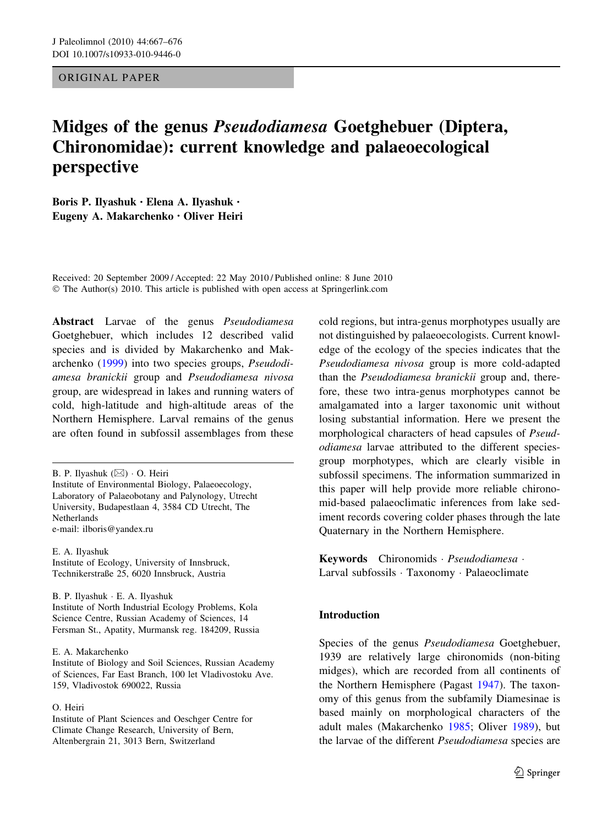ORIGINAL PAPER

# Midges of the genus Pseudodiamesa Goetghebuer (Diptera, Chironomidae): current knowledge and palaeoecological perspective

Boris P. Ilyashuk • Elena A. Ilyashuk • Eugeny A. Makarchenko • Oliver Heiri

Received: 20 September 2009 / Accepted: 22 May 2010 / Published online: 8 June 2010 © The Author(s) 2010. This article is published with open access at Springerlink.com

Abstract Larvae of the genus Pseudodiamesa Goetghebuer, which includes 12 described valid species and is divided by Makarchenko and Makarchenko ([1999](#page-8-0)) into two species groups, Pseudodiamesa branickii group and Pseudodiamesa nivosa group, are widespread in lakes and running waters of cold, high-latitude and high-altitude areas of the Northern Hemisphere. Larval remains of the genus are often found in subfossil assemblages from these

E. A. Ilyashuk Institute of Ecology, University of Innsbruck, Technikerstraße 25, 6020 Innsbruck, Austria

B. P. Ilyashuk - E. A. Ilyashuk Institute of North Industrial Ecology Problems, Kola Science Centre, Russian Academy of Sciences, 14 Fersman St., Apatity, Murmansk reg. 184209, Russia

O. Heiri

Institute of Plant Sciences and Oeschger Centre for Climate Change Research, University of Bern, Altenbergrain 21, 3013 Bern, Switzerland

cold regions, but intra-genus morphotypes usually are not distinguished by palaeoecologists. Current knowledge of the ecology of the species indicates that the Pseudodiamesa nivosa group is more cold-adapted than the Pseudodiamesa branickii group and, therefore, these two intra-genus morphotypes cannot be amalgamated into a larger taxonomic unit without losing substantial information. Here we present the morphological characters of head capsules of Pseudodiamesa larvae attributed to the different speciesgroup morphotypes, which are clearly visible in subfossil specimens. The information summarized in this paper will help provide more reliable chironomid-based palaeoclimatic inferences from lake sediment records covering colder phases through the late Quaternary in the Northern Hemisphere.

Keywords Chironomids - Pseudodiamesa - Larval subfossils - Taxonomy - Palaeoclimate

# Introduction

Species of the genus Pseudodiamesa Goetghebuer, 1939 are relatively large chironomids (non-biting midges), which are recorded from all continents of the Northern Hemisphere (Pagast [1947\)](#page-8-0). The taxonomy of this genus from the subfamily Diamesinae is based mainly on morphological characters of the adult males (Makarchenko [1985;](#page-8-0) Oliver [1989](#page-8-0)), but the larvae of the different Pseudodiamesa species are

B. P. Ilyashuk (⊠) · O. Heiri Institute of Environmental Biology, Palaeoecology, Laboratory of Palaeobotany and Palynology, Utrecht University, Budapestlaan 4, 3584 CD Utrecht, The **Netherlands** e-mail: ilboris@yandex.ru

E. A. Makarchenko

Institute of Biology and Soil Sciences, Russian Academy of Sciences, Far East Branch, 100 let Vladivostoku Ave. 159, Vladivostok 690022, Russia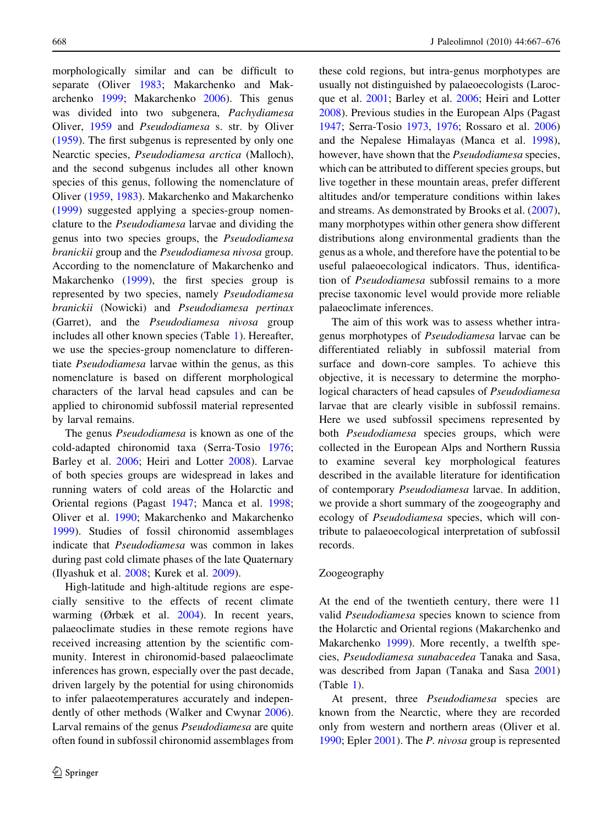morphologically similar and can be difficult to separate (Oliver [1983](#page-8-0); Makarchenko and Makarchenko [1999](#page-8-0); Makarchenko [2006\)](#page-8-0). This genus was divided into two subgenera, Pachydiamesa Oliver, [1959](#page-8-0) and Pseudodiamesa s. str. by Oliver [\(1959](#page-8-0)). The first subgenus is represented by only one Nearctic species, Pseudodiamesa arctica (Malloch), and the second subgenus includes all other known species of this genus, following the nomenclature of Oliver [\(1959](#page-8-0), [1983\)](#page-8-0). Makarchenko and Makarchenko [\(1999](#page-8-0)) suggested applying a species-group nomenclature to the Pseudodiamesa larvae and dividing the genus into two species groups, the Pseudodiamesa branickii group and the Pseudodiamesa nivosa group. According to the nomenclature of Makarchenko and Makarchenko ([1999](#page-8-0)), the first species group is represented by two species, namely Pseudodiamesa branickii (Nowicki) and Pseudodiamesa pertinax (Garret), and the Pseudodiamesa nivosa group includes all other known species (Table [1\)](#page-2-0). Hereafter, we use the species-group nomenclature to differentiate Pseudodiamesa larvae within the genus, as this nomenclature is based on different morphological characters of the larval head capsules and can be applied to chironomid subfossil material represented by larval remains.

The genus Pseudodiamesa is known as one of the cold-adapted chironomid taxa (Serra-Tosio [1976](#page-9-0); Barley et al. [2006;](#page-7-0) Heiri and Lotter [2008](#page-7-0)). Larvae of both species groups are widespread in lakes and running waters of cold areas of the Holarctic and Oriental regions (Pagast [1947;](#page-8-0) Manca et al. [1998](#page-8-0); Oliver et al. [1990](#page-8-0); Makarchenko and Makarchenko [1999\)](#page-8-0). Studies of fossil chironomid assemblages indicate that Pseudodiamesa was common in lakes during past cold climate phases of the late Quaternary (Ilyashuk et al. [2008](#page-7-0); Kurek et al. [2009\)](#page-8-0).

High-latitude and high-altitude regions are especially sensitive to the effects of recent climate warming (Ørbæk et al. [2004](#page-8-0)). In recent years, palaeoclimate studies in these remote regions have received increasing attention by the scientific community. Interest in chironomid-based palaeoclimate inferences has grown, especially over the past decade, driven largely by the potential for using chironomids to infer palaeotemperatures accurately and independently of other methods (Walker and Cwynar [2006](#page-9-0)). Larval remains of the genus Pseudodiamesa are quite often found in subfossil chironomid assemblages from these cold regions, but intra-genus morphotypes are usually not distinguished by palaeoecologists (Larocque et al. [2001;](#page-8-0) Barley et al. [2006](#page-7-0); Heiri and Lotter [2008\)](#page-7-0). Previous studies in the European Alps (Pagast [1947;](#page-8-0) Serra-Tosio [1973,](#page-9-0) [1976](#page-9-0); Rossaro et al. [2006\)](#page-8-0) and the Nepalese Himalayas (Manca et al. [1998](#page-8-0)), however, have shown that the Pseudodiamesa species, which can be attributed to different species groups, but live together in these mountain areas, prefer different altitudes and/or temperature conditions within lakes and streams. As demonstrated by Brooks et al. ([2007](#page-7-0)), many morphotypes within other genera show different distributions along environmental gradients than the genus as a whole, and therefore have the potential to be useful palaeoecological indicators. Thus, identification of Pseudodiamesa subfossil remains to a more precise taxonomic level would provide more reliable palaeoclimate inferences.

The aim of this work was to assess whether intragenus morphotypes of Pseudodiamesa larvae can be differentiated reliably in subfossil material from surface and down-core samples. To achieve this objective, it is necessary to determine the morphological characters of head capsules of Pseudodiamesa larvae that are clearly visible in subfossil remains. Here we used subfossil specimens represented by both Pseudodiamesa species groups, which were collected in the European Alps and Northern Russia to examine several key morphological features described in the available literature for identification of contemporary Pseudodiamesa larvae. In addition, we provide a short summary of the zoogeography and ecology of Pseudodiamesa species, which will contribute to palaeoecological interpretation of subfossil records.

## Zoogeography

At the end of the twentieth century, there were 11 valid Pseudodiamesa species known to science from the Holarctic and Oriental regions (Makarchenko and Makarchenko [1999\)](#page-8-0). More recently, a twelfth species, Pseudodiamesa sunabacedea Tanaka and Sasa, was described from Japan (Tanaka and Sasa [2001\)](#page-9-0) (Table [1](#page-2-0)).

At present, three *Pseudodiamesa* species are known from the Nearctic, where they are recorded only from western and northern areas (Oliver et al. [1990;](#page-8-0) Epler [2001](#page-7-0)). The P. nivosa group is represented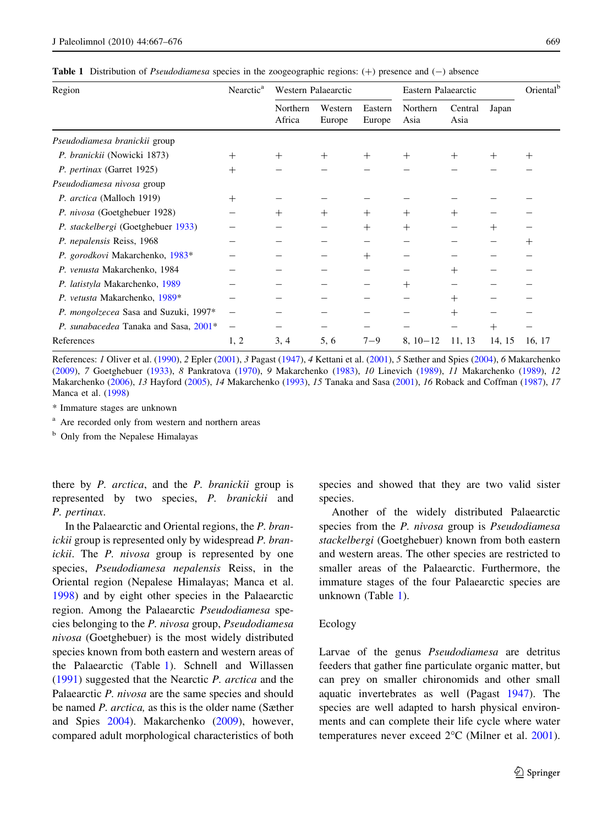<span id="page-2-0"></span>

|  |  | <b>Table 1</b> Distribution of <i>Pseudodiamesa</i> species in the zoogeographic regions: $(+)$ presence and $(-)$ absence |  |  |  |  |  |  |  |  |  |
|--|--|----------------------------------------------------------------------------------------------------------------------------|--|--|--|--|--|--|--|--|--|
|--|--|----------------------------------------------------------------------------------------------------------------------------|--|--|--|--|--|--|--|--|--|

| Region                                | Nearctic <sup>a</sup> | Western Palaearctic |                   |                   | Eastern Palaearctic |                 |        | Oriental <sup>b</sup> |
|---------------------------------------|-----------------------|---------------------|-------------------|-------------------|---------------------|-----------------|--------|-----------------------|
|                                       |                       | Northern<br>Africa  | Western<br>Europe | Eastern<br>Europe | Northern<br>Asia    | Central<br>Asia | Japan  |                       |
| Pseudodiamesa branickii group         |                       |                     |                   |                   |                     |                 |        |                       |
| P. branickii (Nowicki 1873)           | $^{+}$                | $^{+}$              | $^{+}$            | $^{+}$            | $^{+}$              | $^{+}$          | $^+$   | $^{+}$                |
| P. pertinax (Garret 1925)             | $^{+}$                |                     |                   |                   |                     |                 |        |                       |
| Pseudodiamesa nivosa group            |                       |                     |                   |                   |                     |                 |        |                       |
| P. arctica (Malloch 1919)             | $^{+}$                |                     |                   |                   |                     |                 |        |                       |
| P. nivosa (Goetghebuer 1928)          |                       | $^{+}$              | $^{+}$            | $^{+}$            | $^{+}$              | $^{+}$          |        |                       |
| P. stackelbergi (Goetghebuer 1933)    |                       |                     |                   | $^{+}$            | $^{+}$              |                 | $^+$   |                       |
| P. nepalensis Reiss, 1968             |                       |                     |                   |                   |                     |                 |        | $^+$                  |
| P. gorodkovi Makarchenko, 1983*       |                       |                     |                   | $^{+}$            |                     |                 |        |                       |
| P. venusta Makarchenko, 1984          |                       |                     |                   |                   |                     | $^+$            |        |                       |
| P. latistyla Makarchenko, 1989        |                       |                     |                   |                   | $^{+}$              |                 |        |                       |
| P. vetusta Makarchenko, 1989*         |                       |                     |                   |                   |                     | $^{+}$          |        |                       |
| P. mongolzecea Sasa and Suzuki, 1997* |                       |                     |                   |                   |                     | $^{+}$          |        |                       |
| P. sunabacedea Tanaka and Sasa, 2001* |                       |                     |                   |                   |                     |                 | $^{+}$ |                       |
| References                            | 1, 2                  | 3, 4                | 5, 6              | $7 - 9$           | $8, 10-12$          | 11, 13          | 14, 15 | 16, 17                |

References: 1 Oliver et al. [\(1990](#page-8-0)), 2 Epler ([2001\)](#page-7-0), 3 Pagast [\(1947](#page-8-0)), 4 Kettani et al. ([2001\)](#page-7-0), 5 Sæther and Spies [\(2004](#page-8-0)), 6 Makarchenko ([2009\)](#page-8-0), 7 Goetghebuer ([1933\)](#page-7-0), 8 Pankratova ([1970\)](#page-8-0), 9 Makarchenko ([1983\)](#page-8-0), 10 Linevich ([1989\)](#page-8-0), 11 Makarchenko [\(1989](#page-8-0)), 12 Makarchenko ([2006\)](#page-8-0), 13 Hayford ([2005\)](#page-7-0), 14 Makarchenko ([1993\)](#page-8-0), 15 Tanaka and Sasa [\(2001](#page-9-0)), 16 Roback and Coffman [\(1987](#page-8-0)), 17 Manca et al. ([1998\)](#page-8-0)

\* Immature stages are unknown

<sup>a</sup> Are recorded only from western and northern areas

<sup>b</sup> Only from the Nepalese Himalayas

there by *P. arctica*, and the *P. branickii* group is represented by two species, P. branickii and P. pertinax.

In the Palaearctic and Oriental regions, the P. branickii group is represented only by widespread P. branickii. The P. nivosa group is represented by one species, Pseudodiamesa nepalensis Reiss, in the Oriental region (Nepalese Himalayas; Manca et al. [1998\)](#page-8-0) and by eight other species in the Palaearctic region. Among the Palaearctic Pseudodiamesa species belonging to the P. nivosa group, Pseudodiamesa nivosa (Goetghebuer) is the most widely distributed species known from both eastern and western areas of the Palaearctic (Table 1). Schnell and Willassen [\(1991](#page-9-0)) suggested that the Nearctic P. arctica and the Palaearctic P. nivosa are the same species and should be named P. arctica, as this is the older name (Sæther and Spies [2004\)](#page-8-0). Makarchenko [\(2009\)](#page-8-0), however, compared adult morphological characteristics of both species and showed that they are two valid sister species.

Another of the widely distributed Palaearctic species from the P. nivosa group is Pseudodiamesa stackelbergi (Goetghebuer) known from both eastern and western areas. The other species are restricted to smaller areas of the Palaearctic. Furthermore, the immature stages of the four Palaearctic species are unknown (Table 1).

#### Ecology

Larvae of the genus Pseudodiamesa are detritus feeders that gather fine particulate organic matter, but can prey on smaller chironomids and other small aquatic invertebrates as well (Pagast [1947\)](#page-8-0). The species are well adapted to harsh physical environments and can complete their life cycle where water temperatures never exceed  $2^{\circ}$ C (Milner et al. [2001](#page-8-0)).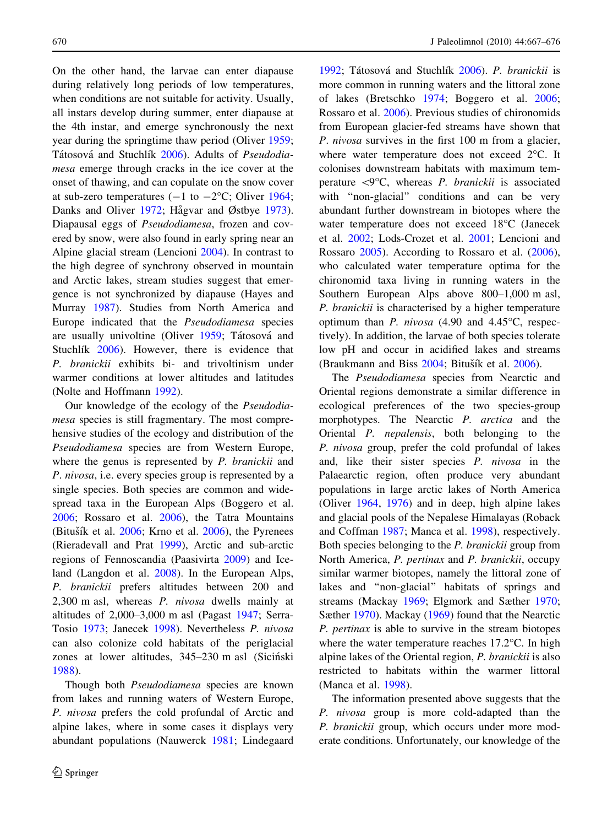On the other hand, the larvae can enter diapause during relatively long periods of low temperatures, when conditions are not suitable for activity. Usually, all instars develop during summer, enter diapause at the 4th instar, and emerge synchronously the next year during the springtime thaw period (Oliver [1959](#page-8-0); Tátosová and Stuchlík [2006\)](#page-9-0). Adults of Pseudodiamesa emerge through cracks in the ice cover at the onset of thawing, and can copulate on the snow cover at sub-zero temperatures  $(-1 \text{ to } -2^{\circ}\text{C}$ ; Oliver [1964](#page-8-0); Danks and Oliver [1972;](#page-7-0) Hågvar and Østbye [1973](#page-7-0)). Diapausal eggs of Pseudodiamesa, frozen and covered by snow, were also found in early spring near an Alpine glacial stream (Lencioni [2004](#page-8-0)). In contrast to the high degree of synchrony observed in mountain and Arctic lakes, stream studies suggest that emergence is not synchronized by diapause (Hayes and Murray [1987](#page-7-0)). Studies from North America and Europe indicated that the Pseudodiamesa species are usually univoltine (Oliver [1959;](#page-8-0) Tátosová and Stuchlik  $2006$ ). However, there is evidence that P. branickii exhibits bi- and trivoltinism under warmer conditions at lower altitudes and latitudes (Nolte and Hoffmann [1992\)](#page-8-0).

Our knowledge of the ecology of the Pseudodiamesa species is still fragmentary. The most comprehensive studies of the ecology and distribution of the Pseudodiamesa species are from Western Europe, where the genus is represented by *P. branickii* and P. nivosa, i.e. every species group is represented by a single species. Both species are common and widespread taxa in the European Alps (Boggero et al. [2006;](#page-7-0) Rossaro et al. [2006](#page-8-0)), the Tatra Mountains (Bitušík et al.  $2006$ ; Krno et al.  $2006$ ), the Pyrenees (Rieradevall and Prat [1999](#page-8-0)), Arctic and sub-arctic regions of Fennoscandia (Paasivirta [2009\)](#page-8-0) and Iceland (Langdon et al. [2008](#page-8-0)). In the European Alps, P. branickii prefers altitudes between 200 and 2,300 m asl, whereas P. nivosa dwells mainly at altitudes of 2,000–3,000 m asl (Pagast [1947;](#page-8-0) Serra-Tosio [1973;](#page-9-0) Janecek [1998\)](#page-7-0). Nevertheless P. nivosa can also colonize cold habitats of the periglacial zones at lower altitudes, 345-230 m asl (Siciński [1988\)](#page-9-0).

Though both *Pseudodiamesa* species are known from lakes and running waters of Western Europe, P. nivosa prefers the cold profundal of Arctic and alpine lakes, where in some cases it displays very abundant populations (Nauwerck [1981;](#page-8-0) Lindegaard

[1992;](#page-8-0) Tátosová and Stuchlík [2006\)](#page-9-0). P. branickii is more common in running waters and the littoral zone of lakes (Bretschko [1974](#page-7-0); Boggero et al. [2006](#page-7-0); Rossaro et al. [2006](#page-8-0)). Previous studies of chironomids from European glacier-fed streams have shown that P. nivosa survives in the first 100 m from a glacier, where water temperature does not exceed 2°C. It colonises downstream habitats with maximum temperature  $\langle 9^\circ \text{C} \rangle$ , whereas *P. branickii* is associated with "non-glacial" conditions and can be very abundant further downstream in biotopes where the water temperature does not exceed 18°C (Janecek et al. [2002;](#page-7-0) Lods-Crozet et al. [2001](#page-8-0); Lencioni and Rossaro [2005](#page-8-0)). According to Rossaro et al. ([2006](#page-8-0)), who calculated water temperature optima for the chironomid taxa living in running waters in the Southern European Alps above 800–1,000 m asl, P. branickii is characterised by a higher temperature optimum than P. nivosa  $(4.90 \text{ and } 4.45^{\circ}\text{C}, \text{ respectively})$ tively). In addition, the larvae of both species tolerate low pH and occur in acidified lakes and streams (Braukmann and Biss  $2004$ ; Bitušík et al.  $2006$ ).

The Pseudodiamesa species from Nearctic and Oriental regions demonstrate a similar difference in ecological preferences of the two species-group morphotypes. The Nearctic P. arctica and the Oriental P. nepalensis, both belonging to the P. nivosa group, prefer the cold profundal of lakes and, like their sister species P. nivosa in the Palaearctic region, often produce very abundant populations in large arctic lakes of North America (Oliver [1964](#page-8-0), [1976\)](#page-8-0) and in deep, high alpine lakes and glacial pools of the Nepalese Himalayas (Roback and Coffman [1987](#page-8-0); Manca et al. [1998](#page-8-0)), respectively. Both species belonging to the P. branickii group from North America, P. pertinax and P. branickii, occupy similar warmer biotopes, namely the littoral zone of lakes and ''non-glacial'' habitats of springs and streams (Mackay [1969;](#page-8-0) Elgmork and Sæther [1970](#page-7-0); Sæther [1970](#page-8-0)). Mackay ([1969\)](#page-8-0) found that the Nearctic P. pertinax is able to survive in the stream biotopes where the water temperature reaches  $17.2^{\circ}$ C. In high alpine lakes of the Oriental region, P. branickii is also restricted to habitats within the warmer littoral (Manca et al. [1998](#page-8-0)).

The information presented above suggests that the P. nivosa group is more cold-adapted than the P. branickii group, which occurs under more moderate conditions. Unfortunately, our knowledge of the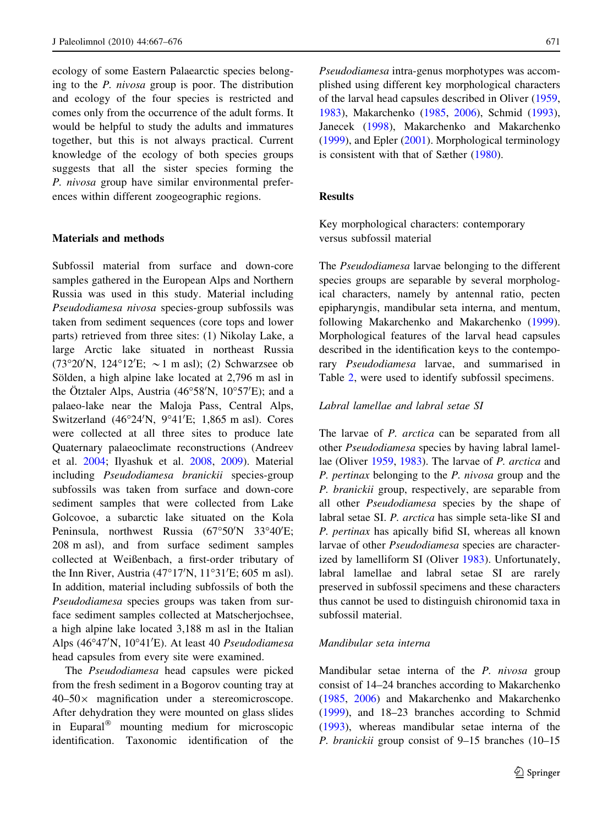ecology of some Eastern Palaearctic species belonging to the P. nivosa group is poor. The distribution and ecology of the four species is restricted and comes only from the occurrence of the adult forms. It would be helpful to study the adults and immatures together, but this is not always practical. Current knowledge of the ecology of both species groups suggests that all the sister species forming the P. nivosa group have similar environmental preferences within different zoogeographic regions.

## Materials and methods

Subfossil material from surface and down-core samples gathered in the European Alps and Northern Russia was used in this study. Material including Pseudodiamesa nivosa species-group subfossils was taken from sediment sequences (core tops and lower parts) retrieved from three sites: (1) Nikolay Lake, a large Arctic lake situated in northeast Russia  $(73^{\circ}20'N, 124^{\circ}12'E; \sim 1 m \text{ asl})$ ; (2) Schwarzsee ob Sölden, a high alpine lake located at 2,796 m asl in the Ötztaler Alps, Austria ( $46^{\circ}58'N$ ,  $10^{\circ}57'E$ ); and a palaeo-lake near the Maloja Pass, Central Alps, Switzerland  $(46^{\circ}24^{\prime}N, 9^{\circ}41^{\prime}E; 1,865 m$  asl). Cores were collected at all three sites to produce late Quaternary palaeoclimate reconstructions (Andreev et al. [2004](#page-7-0); Ilyashuk et al. [2008](#page-7-0), [2009](#page-7-0)). Material including Pseudodiamesa branickii species-group subfossils was taken from surface and down-core sediment samples that were collected from Lake Golcovoe, a subarctic lake situated on the Kola Peninsula, northwest Russia (67°50'N 33°40'E; 208 m asl), and from surface sediment samples collected at Weißenbach, a first-order tributary of the Inn River, Austria  $(47^{\circ}17^{\prime}N, 11^{\circ}31^{\prime}E; 605 \text{ m asl}).$ In addition, material including subfossils of both the Pseudodiamesa species groups was taken from surface sediment samples collected at Matscherjochsee, a high alpine lake located 3,188 m asl in the Italian Alps (46°47'N, 10°41'E). At least 40 Pseudodiamesa head capsules from every site were examined.

The Pseudodiamesa head capsules were picked from the fresh sediment in a Bogorov counting tray at  $40-50\times$  magnification under a stereomicroscope. After dehydration they were mounted on glass slides in Euparal<sup>®</sup> mounting medium for microscopic identification. Taxonomic identification of the Pseudodiamesa intra-genus morphotypes was accomplished using different key morphological characters of the larval head capsules described in Oliver ([1959,](#page-8-0) [1983\)](#page-8-0), Makarchenko [\(1985](#page-8-0), [2006](#page-8-0)), Schmid ([1993](#page-9-0)), Janecek [\(1998](#page-7-0)), Makarchenko and Makarchenko [\(1999](#page-8-0)), and Epler [\(2001](#page-7-0)). Morphological terminology is consistent with that of Sæther ([1980\)](#page-8-0).

## Results

Key morphological characters: contemporary versus subfossil material

The Pseudodiamesa larvae belonging to the different species groups are separable by several morphological characters, namely by antennal ratio, pecten epipharyngis, mandibular seta interna, and mentum, following Makarchenko and Makarchenko ([1999](#page-8-0)). Morphological features of the larval head capsules described in the identification keys to the contemporary Pseudodiamesa larvae, and summarised in Table [2](#page-5-0), were used to identify subfossil specimens.

#### Labral lamellae and labral setae SI

The larvae of P. *arctica* can be separated from all other Pseudodiamesa species by having labral lamellae (Oliver [1959](#page-8-0), [1983\)](#page-8-0). The larvae of P. arctica and P. pertinax belonging to the P. nivosa group and the P. branickii group, respectively, are separable from all other Pseudodiamesa species by the shape of labral setae SI. P. arctica has simple seta-like SI and P. pertinax has apically bifid SI, whereas all known larvae of other Pseudodiamesa species are characterized by lamelliform SI (Oliver [1983\)](#page-8-0). Unfortunately, labral lamellae and labral setae SI are rarely preserved in subfossil specimens and these characters thus cannot be used to distinguish chironomid taxa in subfossil material.

## Mandibular seta interna

Mandibular setae interna of the P. nivosa group consist of 14–24 branches according to Makarchenko [\(1985](#page-8-0), [2006](#page-8-0)) and Makarchenko and Makarchenko [\(1999](#page-8-0)), and 18–23 branches according to Schmid [\(1993](#page-9-0)), whereas mandibular setae interna of the P. branickii group consist of 9–15 branches (10–15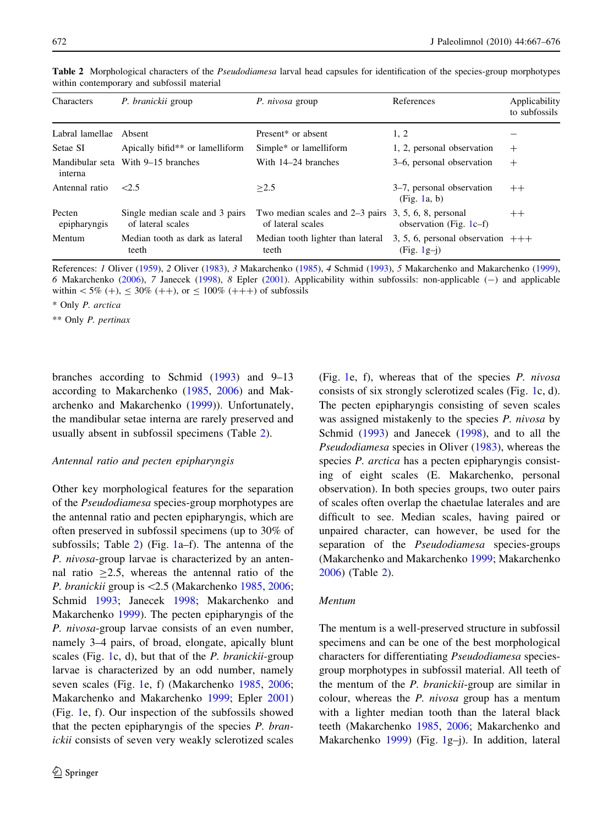| Characters             | P. branickii group                                   | P. nivosa group                                                             | References                                          | Applicability<br>to subfossils |
|------------------------|------------------------------------------------------|-----------------------------------------------------------------------------|-----------------------------------------------------|--------------------------------|
| Labral lamellae        | Absent                                               | Present <sup>*</sup> or absent                                              | 1, 2                                                |                                |
| Setae SI               | Apically bifid** or lamelliform                      | Simple* or lamelliform                                                      | 1, 2, personal observation                          | $^{+}$                         |
| interna                | Mandibular seta With 9–15 branches                   | With 14–24 branches                                                         | 3–6, personal observation                           | $+$                            |
| Antennal ratio         | 2.5                                                  | >2.5                                                                        | 3–7, personal observation<br>(Fig. 1a, b)           | $++$                           |
| Pecten<br>epipharyngis | Single median scale and 3 pairs<br>of lateral scales | Two median scales and $2-3$ pairs 3, 5, 6, 8, personal<br>of lateral scales | observation (Fig. $1c-f$ )                          | $++$                           |
| Mentum                 | Median tooth as dark as lateral<br>teeth             | Median tooth lighter than lateral<br>teeth                                  | 3, 5, 6, personal observation $++$<br>$(Fig. 1g-i)$ |                                |

<span id="page-5-0"></span>Table 2 Morphological characters of the *Pseudodiamesa* larval head capsules for identification of the species-group morphotypes within contemporary and subfossil material

References: 1 Oliver ([1959\)](#page-8-0), 2 Oliver ([1983\)](#page-8-0), 3 Makarchenko ([1985\)](#page-8-0), 4 Schmid [\(1993\)](#page-9-0), 5 Makarchenko and Makarchenko [\(1999](#page-8-0)), 6 Makarchenko ([2006\)](#page-8-0), 7 Janecek [\(1998](#page-7-0)), 8 Epler ([2001\)](#page-7-0). Applicability within subfossils: non-applicable (-) and applicable within  $< 5\% (+), \leq 30\% (+),$  or  $\leq 100\% (+++)$  of subfossils

\* Only P. arctica

\*\* Only P. pertinax

branches according to Schmid ([1993\)](#page-9-0) and 9–13 according to Makarchenko [\(1985](#page-8-0), [2006](#page-8-0)) and Makarchenko and Makarchenko ([1999\)](#page-8-0)). Unfortunately, the mandibular setae interna are rarely preserved and usually absent in subfossil specimens (Table 2).

#### Antennal ratio and pecten epipharyngis

Other key morphological features for the separation of the Pseudodiamesa species-group morphotypes are the antennal ratio and pecten epipharyngis, which are often preserved in subfossil specimens (up to 30% of subfossils; Table 2) (Fig. [1](#page-6-0)a–f). The antenna of the P. nivosa-group larvae is characterized by an antennal ratio  $>2.5$ , whereas the antennal ratio of the P. branickii group is <2.5 (Makarchenko [1985](#page-8-0), [2006](#page-8-0); Schmid [1993;](#page-9-0) Janecek [1998;](#page-7-0) Makarchenko and Makarchenko [1999](#page-8-0)). The pecten epipharyngis of the P. nivosa-group larvae consists of an even number, namely 3–4 pairs, of broad, elongate, apically blunt scales (Fig. [1](#page-6-0)c, d), but that of the  $P$ . branickii-group larvae is characterized by an odd number, namely seven scales (Fig. [1e](#page-6-0), f) (Makarchenko [1985,](#page-8-0) [2006](#page-8-0); Makarchenko and Makarchenko [1999](#page-8-0); Epler [2001\)](#page-7-0) (Fig. [1](#page-6-0)e, f). Our inspection of the subfossils showed that the pecten epipharyngis of the species  $P$ . branickii consists of seven very weakly sclerotized scales (Fig. [1](#page-6-0)e, f), whereas that of the species P. nivosa consists of six strongly sclerotized scales (Fig. [1c](#page-6-0), d). The pecten epipharyngis consisting of seven scales was assigned mistakenly to the species P. nivosa by Schmid ([1993\)](#page-9-0) and Janecek ([1998\)](#page-7-0), and to all the Pseudodiamesa species in Oliver [\(1983](#page-8-0)), whereas the species *P. arctica* has a pecten epipharyngis consisting of eight scales (E. Makarchenko, personal observation). In both species groups, two outer pairs of scales often overlap the chaetulae laterales and are difficult to see. Median scales, having paired or unpaired character, can however, be used for the separation of the *Pseudodiamesa* species-groups (Makarchenko and Makarchenko [1999](#page-8-0); Makarchenko [2006\)](#page-8-0) (Table 2).

## Mentum

The mentum is a well-preserved structure in subfossil specimens and can be one of the best morphological characters for differentiating Pseudodiamesa speciesgroup morphotypes in subfossil material. All teeth of the mentum of the P. branickii-group are similar in colour, whereas the P. nivosa group has a mentum with a lighter median tooth than the lateral black teeth (Makarchenko [1985,](#page-8-0) [2006;](#page-8-0) Makarchenko and Makarchenko [1999](#page-8-0)) (Fig. [1g](#page-6-0)–j). In addition, lateral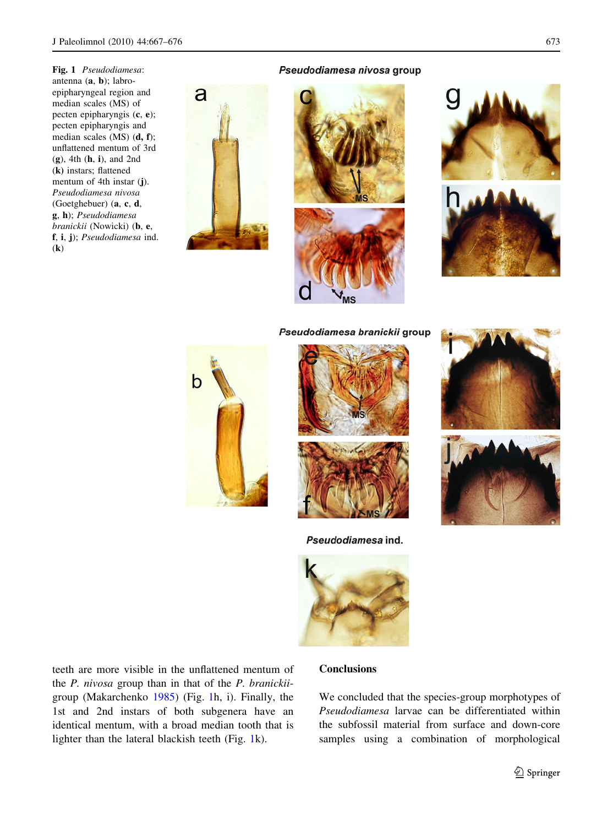<span id="page-6-0"></span>Fig. 1 Pseudodiamesa: antenna (a, b); labroepipharyngeal region and median scales (MS) of pecten epipharyngis (c, e); pecten epipharyngis and median scales (MS) (d, f); unflattened mentum of 3rd (g), 4th (h, i), and 2nd (k) instars; flattened mentum of 4th instar (j). Pseudodiamesa nivosa (Goetghebuer) (a, c, d, g, h); Pseudodiamesa branickii (Nowicki) (b, e, f, i, j); Pseudodiamesa ind. (k)

#### Pseudodiamesa nivosa group









Pseudodiamesa branickii group







Pseudodiamesa ind.



teeth are more visible in the unflattened mentum of the P. nivosa group than in that of the P. branickiigroup (Makarchenko [1985](#page-8-0)) (Fig. 1h, i). Finally, the 1st and 2nd instars of both subgenera have an identical mentum, with a broad median tooth that is lighter than the lateral blackish teeth (Fig. 1k).

# **Conclusions**

We concluded that the species-group morphotypes of Pseudodiamesa larvae can be differentiated within the subfossil material from surface and down-core samples using a combination of morphological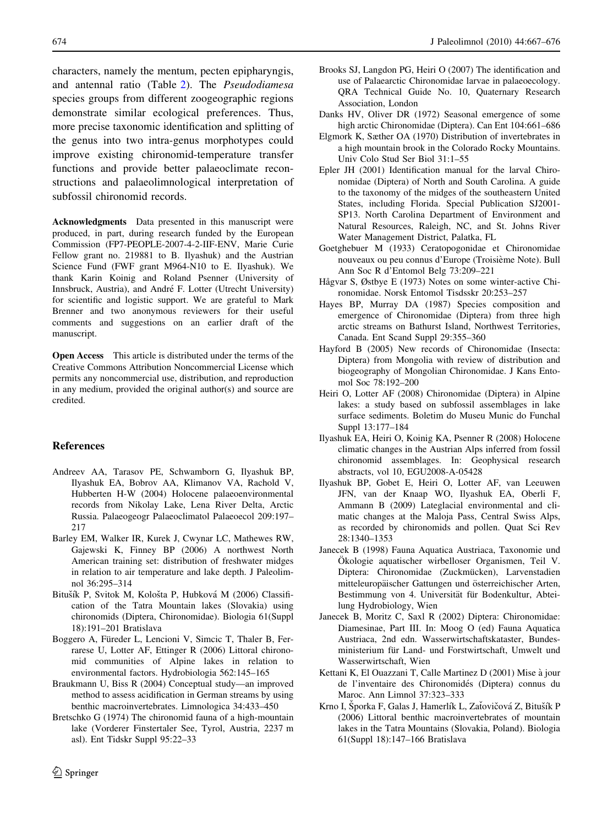<span id="page-7-0"></span>characters, namely the mentum, pecten epipharyngis, and antennal ratio (Table [2](#page-5-0)). The Pseudodiamesa species groups from different zoogeographic regions demonstrate similar ecological preferences. Thus, more precise taxonomic identification and splitting of the genus into two intra-genus morphotypes could improve existing chironomid-temperature transfer functions and provide better palaeoclimate reconstructions and palaeolimnological interpretation of subfossil chironomid records.

Acknowledgments Data presented in this manuscript were produced, in part, during research funded by the European Commission (FP7-PEOPLE-2007-4-2-IIF-ENV, Marie Curie Fellow grant no. 219881 to B. Ilyashuk) and the Austrian Science Fund (FWF grant M964-N10 to E. Ilyashuk). We thank Karin Koinig and Roland Psenner (University of Innsbruck, Austria), and André F. Lotter (Utrecht University) for scientific and logistic support. We are grateful to Mark Brenner and two anonymous reviewers for their useful comments and suggestions on an earlier draft of the manuscript.

Open Access This article is distributed under the terms of the Creative Commons Attribution Noncommercial License which permits any noncommercial use, distribution, and reproduction in any medium, provided the original author(s) and source are credited.

# References

- Andreev AA, Tarasov PE, Schwamborn G, Ilyashuk BP, Ilyashuk EA, Bobrov AA, Klimanov VA, Rachold V, Hubberten H-W (2004) Holocene palaeoenvironmental records from Nikolay Lake, Lena River Delta, Arctic Russia. Palaeogeogr Palaeoclimatol Palaeoecol 209:197– 217
- Barley EM, Walker IR, Kurek J, Cwynar LC, Mathewes RW, Gajewski K, Finney BP (2006) A northwest North American training set: distribution of freshwater midges in relation to air temperature and lake depth. J Paleolimnol 36:295–314
- Bitušík P, Svitok M, Kološta P, Hubková M (2006) Classification of the Tatra Mountain lakes (Slovakia) using chironomids (Diptera, Chironomidae). Biologia 61(Suppl 18):191–201 Bratislava
- Boggero A, Füreder L, Lencioni V, Simcic T, Thaler B, Ferrarese U, Lotter AF, Ettinger R (2006) Littoral chironomid communities of Alpine lakes in relation to environmental factors. Hydrobiologia 562:145–165
- Braukmann U, Biss R (2004) Conceptual study—an improved method to assess acidification in German streams by using benthic macroinvertebrates. Limnologica 34:433–450
- Bretschko G (1974) The chironomid fauna of a high-mountain lake (Vorderer Finstertaler See, Tyrol, Austria, 2237 m asl). Ent Tidskr Suppl 95:22–33
- Brooks SJ, Langdon PG, Heiri O (2007) The identification and use of Palaearctic Chironomidae larvae in palaeoecology. QRA Technical Guide No. 10, Quaternary Research Association, London
- Danks HV, Oliver DR (1972) Seasonal emergence of some high arctic Chironomidae (Diptera). Can Ent 104:661–686
- Elgmork K, Sæther OA (1970) Distribution of invertebrates in a high mountain brook in the Colorado Rocky Mountains. Univ Colo Stud Ser Biol 31:1–55
- Epler JH (2001) Identification manual for the larval Chironomidae (Diptera) of North and South Carolina. A guide to the taxonomy of the midges of the southeastern United States, including Florida. Special Publication SJ2001- SP13. North Carolina Department of Environment and Natural Resources, Raleigh, NC, and St. Johns River Water Management District, Palatka, FL
- Goetghebuer M (1933) Ceratopogonidae et Chironomidae nouveaux ou peu connus d'Europe (Troisième Note). Bull Ann Soc R d'Entomol Belg 73:209–221
- Hågvar S, Østbye E (1973) Notes on some winter-active Chironomidae. Norsk Entomol Tisdsskr 20:253–257
- Hayes BP, Murray DA (1987) Species composition and emergence of Chironomidae (Diptera) from three high arctic streams on Bathurst Island, Northwest Territories, Canada. Ent Scand Suppl 29:355–360
- Hayford B (2005) New records of Chironomidae (Insecta: Diptera) from Mongolia with review of distribution and biogeography of Mongolian Chironomidae. J Kans Entomol Soc 78:192–200
- Heiri O, Lotter AF (2008) Chironomidae (Diptera) in Alpine lakes: a study based on subfossil assemblages in lake surface sediments. Boletim do Museu Munic do Funchal Suppl 13:177–184
- Ilyashuk EA, Heiri O, Koinig KA, Psenner R (2008) Holocene climatic changes in the Austrian Alps inferred from fossil chironomid assemblages. In: Geophysical research abstracts, vol 10, EGU2008-A-05428
- Ilyashuk BP, Gobet E, Heiri O, Lotter AF, van Leeuwen JFN, van der Knaap WO, Ilyashuk EA, Oberli F, Ammann B (2009) Lateglacial environmental and climatic changes at the Maloja Pass, Central Swiss Alps, as recorded by chironomids and pollen. Quat Sci Rev 28:1340–1353
- Janecek B (1998) Fauna Aquatica Austriaca, Taxonomie und Ökologie aquatischer wirbelloser Organismen, Teil V. Diptera: Chironomidae (Zuckmücken), Larvenstadien mitteleuropäischer Gattungen und österreichischer Arten, Bestimmung von 4. Universität für Bodenkultur, Abteilung Hydrobiology, Wien
- Janecek B, Moritz C, Saxl R (2002) Diptera: Chironomidae: Diamesinae, Part III. In: Moog O (ed) Fauna Aquatica Austriaca, 2nd edn. Wasserwirtschaftskataster, Bundesministerium für Land- und Forstwirtschaft, Umwelt und Wasserwirtschaft, Wien
- Kettani K, El Ouazzani T, Calle Martinez D (2001) Mise a` jour de l'inventaire des Chironomidés (Diptera) connus du Maroc. Ann Limnol 37:323–333
- Krno I, Šporka F, Galas J, Hamerlík L, Zaťovičová Z, Bitušík P (2006) Littoral benthic macroinvertebrates of mountain lakes in the Tatra Mountains (Slovakia, Poland). Biologia 61(Suppl 18):147–166 Bratislava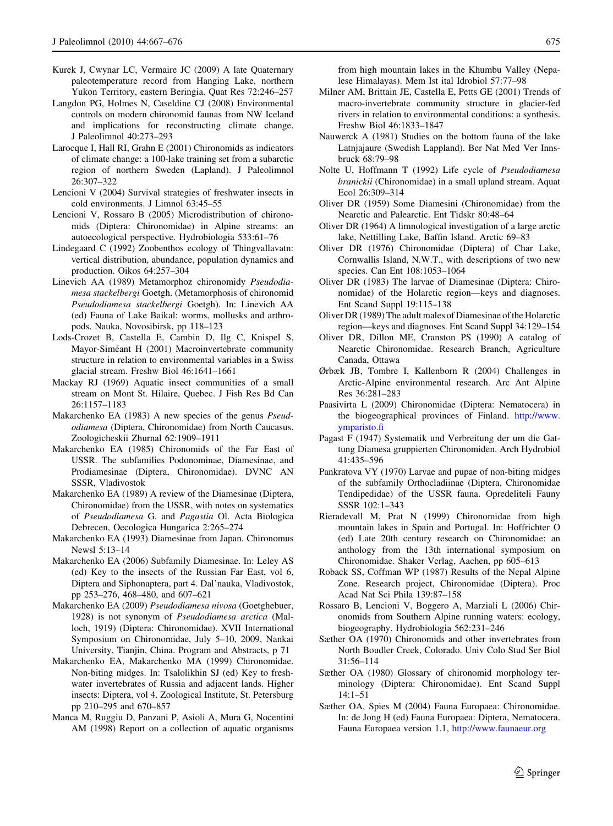- <span id="page-8-0"></span>Kurek J, Cwynar LC, Vermaire JC (2009) A late Quaternary paleotemperature record from Hanging Lake, northern Yukon Territory, eastern Beringia. Quat Res 72:246–257
- Langdon PG, Holmes N, Caseldine CJ (2008) Environmental controls on modern chironomid faunas from NW Iceland and implications for reconstructing climate change. J Paleolimnol 40:273–293
- Larocque I, Hall RI, Grahn E (2001) Chironomids as indicators of climate change: a 100-lake training set from a subarctic region of northern Sweden (Lapland). J Paleolimnol 26:307–322
- Lencioni V (2004) Survival strategies of freshwater insects in cold environments. J Limnol 63:45–55
- Lencioni V, Rossaro B (2005) Microdistribution of chironomids (Diptera: Chironomidae) in Alpine streams: an autoecological perspective. Hydrobiologia 533:61–76
- Lindegaard C (1992) Zoobenthos ecology of Thingvallavatn: vertical distribution, abundance, population dynamics and production. Oikos 64:257–304
- Linevich AA (1989) Metamorphoz chironomidy Pseudodiamesa stackelbergi Goetgh. (Metamorphosis of chironomid Pseudodiamesa stackelbergi Goetgh). In: Linevich AA (ed) Fauna of Lake Baikal: worms, mollusks and arthropods. Nauka, Novosibirsk, pp 118–123
- Lods-Crozet B, Castella E, Cambin D, Ilg C, Knispel S, Mayor-Siméant H (2001) Macroinvertebrate community structure in relation to environmental variables in a Swiss glacial stream. Freshw Biol 46:1641–1661
- Mackay RJ (1969) Aquatic insect communities of a small stream on Mont St. Hilaire, Quebec. J Fish Res Bd Can 26:1157–1183
- Makarchenko EA (1983) A new species of the genus Pseudodiamesa (Diptera, Chironomidae) from North Caucasus. Zoologicheskii Zhurnal 62:1909–1911
- Makarchenko EA (1985) Chironomids of the Far East of USSR. The subfamilies Podonominae, Diamesinae, and Prodiamesinae (Diptera, Chironomidae). DVNC AN SSSR, Vladivostok
- Makarchenko EA (1989) A review of the Diamesinae (Diptera, Chironomidae) from the USSR, with notes on systematics of Pseudodiamesa G. and Pagastia Ol. Acta Biologica Debrecen, Oecologica Hungarica 2:265–274
- Makarchenko EA (1993) Diamesinae from Japan. Chironomus Newsl 5:13–14
- Makarchenko EA (2006) Subfamily Diamesinae. In: Leley AS (ed) Key to the insects of the Russian Far East, vol 6, Diptera and Siphonaptera, part 4. Dal'nauka, Vladivostok, pp 253–276, 468–480, and 607–621
- Makarchenko EA (2009) Pseudodiamesa nivosa (Goetghebuer, 1928) is not synonym of Pseudodiamesa arctica (Malloch, 1919) (Diptera: Chironomidae). XVII International Symposium on Chironomidae, July 5–10, 2009, Nankai University, Tianjin, China. Program and Abstracts, p 71
- Makarchenko EA, Makarchenko MA (1999) Chironomidae. Non-biting midges. In: Tsalolikhin SJ (ed) Key to freshwater invertebrates of Russia and adjacent lands. Higher insects: Diptera, vol 4. Zoological Institute, St. Petersburg pp 210–295 and 670–857
- Manca M, Ruggiu D, Panzani P, Asioli A, Mura G, Nocentini AM (1998) Report on a collection of aquatic organisms

from high mountain lakes in the Khumbu Valley (Nepalese Himalayas). Mem Ist ital Idrobiol 57:77–98

- Milner AM, Brittain JE, Castella E, Petts GE (2001) Trends of macro-invertebrate community structure in glacier-fed rivers in relation to environmental conditions: a synthesis. Freshw Biol 46:1833–1847
- Nauwerck A (1981) Studies on the bottom fauna of the lake Latnjajaure (Swedish Lappland). Ber Nat Med Ver Innsbruck 68:79–98
- Nolte U, Hoffmann T (1992) Life cycle of Pseudodiamesa branickii (Chironomidae) in a small upland stream. Aquat Ecol 26:309–314
- Oliver DR (1959) Some Diamesini (Chironomidae) from the Nearctic and Palearctic. Ent Tidskr 80:48–64
- Oliver DR (1964) A limnological investigation of a large arctic lake, Nettilling Lake, Baffin Island. Arctic 69–83
- Oliver DR (1976) Chironomidae (Diptera) of Char Lake, Cornwallis Island, N.W.T., with descriptions of two new species. Can Ent 108:1053–1064
- Oliver DR (1983) The larvae of Diamesinae (Diptera: Chironomidae) of the Holarctic region—keys and diagnoses. Ent Scand Suppl 19:115–138
- Oliver DR (1989) The adult males of Diamesinae of the Holarctic region—keys and diagnoses. Ent Scand Suppl 34:129–154
- Oliver DR, Dillon ME, Cranston PS (1990) A catalog of Nearctic Chironomidae. Research Branch, Agriculture Canada, Ottawa
- Ørbæk JB, Tombre I, Kallenborn R (2004) Challenges in Arctic-Alpine environmental research. Arc Ant Alpine Res 36:281–283
- Paasivirta L (2009) Chironomidae (Diptera: Nematocera) in the biogeographical provinces of Finland. [http://www.](http://www.ymparisto.fi) [ymparisto.fi](http://www.ymparisto.fi)
- Pagast F (1947) Systematik und Verbreitung der um die Gattung Diamesa gruppierten Chironomiden. Arch Hydrobiol 41:435–596
- Pankratova VY (1970) Larvae and pupae of non-biting midges of the subfamily Orthocladiinae (Diptera, Chironomidae Tendipedidae) of the USSR fauna. Opredeliteli Fauny SSSR 102:1–343
- Rieradevall M, Prat N (1999) Chironomidae from high mountain lakes in Spain and Portugal. In: Hoffrichter O (ed) Late 20th century research on Chironomidae: an anthology from the 13th international symposium on Chironomidae. Shaker Verlag, Aachen, pp 605–613
- Roback SS, Coffman WP (1987) Results of the Nepal Alpine Zone. Research project, Chironomidae (Diptera). Proc Acad Nat Sci Phila 139:87–158
- Rossaro B, Lencioni V, Boggero A, Marziali L (2006) Chironomids from Southern Alpine running waters: ecology, biogeography. Hydrobiologia 562:231–246
- Sæther OA (1970) Chironomids and other invertebrates from North Boudler Creek, Colorado. Univ Colo Stud Ser Biol 31:56–114
- Sæther OA (1980) Glossary of chironomid morphology terminology (Diptera: Chironomidae). Ent Scand Suppl 14:1–51
- Sæther OA, Spies M (2004) Fauna Europaea: Chironomidae. In: de Jong H (ed) Fauna Europaea: Diptera, Nematocera. Fauna Europaea version 1.1, <http://www.faunaeur.org>